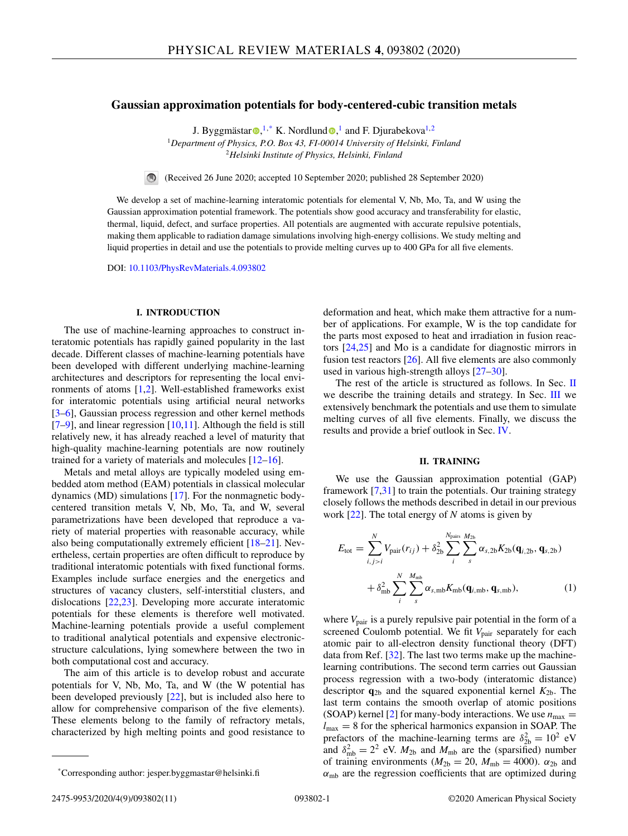# **Gaussian approximation potentials for body-centered-cubic transition metals**

J. Byggmästar $\mathbf{O},^{1,*}$  $\mathbf{O},^{1,*}$  $\mathbf{O},^{1,*}$  K. Nor[d](https://orcid.org/0000-0001-6244-1942)lund $\mathbf{O},^1$  and F. Djurabekova<sup>1,2</sup>

<sup>1</sup>*Department of Physics, P.O. Box 43, FI-00014 University of Helsinki, Finland* <sup>2</sup>*Helsinki Institute of Physics, Helsinki, Finland*



(Received 26 June 2020; accepted 10 September 2020; published 28 September 2020)

We develop a set of machine-learning interatomic potentials for elemental V, Nb, Mo, Ta, and W using the Gaussian approximation potential framework. The potentials show good accuracy and transferability for elastic, thermal, liquid, defect, and surface properties. All potentials are augmented with accurate repulsive potentials, making them applicable to radiation damage simulations involving high-energy collisions. We study melting and liquid properties in detail and use the potentials to provide melting curves up to 400 GPa for all five elements.

DOI: [10.1103/PhysRevMaterials.4.093802](https://doi.org/10.1103/PhysRevMaterials.4.093802)

## **I. INTRODUCTION**

The use of machine-learning approaches to construct interatomic potentials has rapidly gained popularity in the last decade. Different classes of machine-learning potentials have been developed with different underlying machine-learning architectures and descriptors for representing the local environments of atoms  $[1,2]$ . Well-established frameworks exist for interatomic potentials using artificial neural networks [3–6], Gaussian process regression and other kernel methods  $[7-9]$ , and linear regression  $[10,11]$ . Although the field is still relatively new, it has already reached a level of maturity that high-quality machine-learning potentials are now routinely trained for a variety of materials and molecules [12–16].

Metals and metal alloys are typically modeled using embedded atom method (EAM) potentials in classical molecular dynamics (MD) simulations [17]. For the nonmagnetic bodycentered transition metals V, Nb, Mo, Ta, and W, several parametrizations have been developed that reproduce a variety of material properties with reasonable accuracy, while also being computationally extremely efficient [18–21]. Nevertheless, certain properties are often difficult to reproduce by traditional interatomic potentials with fixed functional forms. Examples include surface energies and the energetics and structures of vacancy clusters, self-interstitial clusters, and dislocations [22,23]. Developing more accurate interatomic potentials for these elements is therefore well motivated. Machine-learning potentials provide a useful complement to traditional analytical potentials and expensive electronicstructure calculations, lying somewhere between the two in both computational cost and accuracy.

The aim of this article is to develop robust and accurate potentials for V, Nb, Mo, Ta, and W (the W potential has been developed previously [22], but is included also here to allow for comprehensive comparison of the five elements). These elements belong to the family of refractory metals, characterized by high melting points and good resistance to

deformation and heat, which make them attractive for a number of applications. For example, W is the top candidate for the parts most exposed to heat and irradiation in fusion reactors [24,25] and Mo is a candidate for diagnostic mirrors in fusion test reactors [26]. All five elements are also commonly used in various high-strength alloys [27–30].

The rest of the article is structured as follows. In Sec. II we describe the training details and strategy. In Sec. III we extensively benchmark the potentials and use them to simulate melting curves of all five elements. Finally, we discuss the results and provide a brief outlook in Sec. IV.

#### **II. TRAINING**

We use the Gaussian approximation potential (GAP) framework  $[7,31]$  to train the potentials. Our training strategy closely follows the methods described in detail in our previous work [22]. The total energy of *N* atoms is given by

$$
E_{\text{tot}} = \sum_{i,j>i}^{N} V_{\text{pair}}(r_{ij}) + \delta_{2b}^{2} \sum_{i}^{N_{\text{pairs}}} \sum_{s}^{M_{2b}} \alpha_{s,2b} K_{2b}(\mathbf{q}_{i,2b}, \mathbf{q}_{s,2b}) + \delta_{\text{mb}}^{2} \sum_{i}^{N} \sum_{s}^{M_{\text{mb}}} \alpha_{s,\text{mb}} K_{\text{mb}}(\mathbf{q}_{i,\text{mb}}, \mathbf{q}_{s,\text{mb}}), \tag{1}
$$

where  $V_{\text{pair}}$  is a purely repulsive pair potential in the form of a screened Coulomb potential. We fit V<sub>pair</sub> separately for each atomic pair to all-electron density functional theory (DFT) data from Ref. [32]. The last two terms make up the machinelearning contributions. The second term carries out Gaussian process regression with a two-body (interatomic distance) descriptor  $q_{2b}$  and the squared exponential kernel  $K_{2b}$ . The last term contains the smooth overlap of atomic positions (SOAP) kernel [2] for many-body interactions. We use  $n_{\text{max}} =$  $l_{\text{max}} = 8$  for the spherical harmonics expansion in SOAP. The prefactors of the machine-learning terms are  $\delta_{2b}^2 = 10^2$  eV and  $\delta_{\rm mb}^2 = 2^2$  eV.  $M_{2b}$  and  $M_{\rm mb}$  are the (sparsified) number of training environments ( $M_{2b} = 20$ ,  $M_{mb} = 4000$ ).  $\alpha_{2b}$  and  $\alpha_{\rm mb}$  are the regression coefficients that are optimized during

<sup>\*</sup>Corresponding author: jesper.byggmastar@helsinki.fi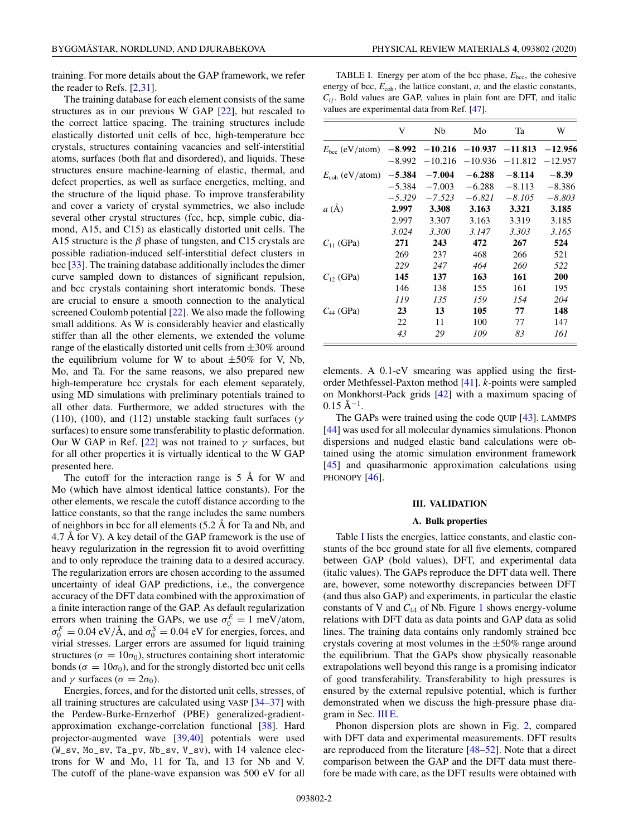training. For more details about the GAP framework, we refer the reader to Refs. [2,31].

The training database for each element consists of the same structures as in our previous W GAP [22], but rescaled to the correct lattice spacing. The training structures include elastically distorted unit cells of bcc, high-temperature bcc crystals, structures containing vacancies and self-interstitial atoms, surfaces (both flat and disordered), and liquids. These structures ensure machine-learning of elastic, thermal, and defect properties, as well as surface energetics, melting, and the structure of the liquid phase. To improve transferability and cover a variety of crystal symmetries, we also include several other crystal structures (fcc, hcp, simple cubic, diamond, A15, and C15) as elastically distorted unit cells. The A15 structure is the  $\beta$  phase of tungsten, and C15 crystals are possible radiation-induced self-interstitial defect clusters in bcc [33]. The training database additionally includes the dimer curve sampled down to distances of significant repulsion, and bcc crystals containing short interatomic bonds. These are crucial to ensure a smooth connection to the analytical screened Coulomb potential [22]. We also made the following small additions. As W is considerably heavier and elastically stiffer than all the other elements, we extended the volume range of the elastically distorted unit cells from  $\pm 30\%$  around the equilibrium volume for W to about  $\pm 50\%$  for V, Nb, Mo, and Ta. For the same reasons, we also prepared new high-temperature bcc crystals for each element separately, using MD simulations with preliminary potentials trained to all other data. Furthermore, we added structures with the (110), (100), and (112) unstable stacking fault surfaces ( $\gamma$ surfaces) to ensure some transferability to plastic deformation. Our W GAP in Ref. [22] was not trained to  $\gamma$  surfaces, but for all other properties it is virtually identical to the W GAP presented here.

The cutoff for the interaction range is 5 Å for W and Mo (which have almost identical lattice constants). For the other elements, we rescale the cutoff distance according to the lattice constants, so that the range includes the same numbers of neighbors in bcc for all elements (5.2 Å for Ta and Nb, and 4.7 Å for V). A key detail of the GAP framework is the use of heavy regularization in the regression fit to avoid overfitting and to only reproduce the training data to a desired accuracy. The regularization errors are chosen according to the assumed uncertainty of ideal GAP predictions, i.e., the convergence accuracy of the DFT data combined with the approximation of a finite interaction range of the GAP. As default regularization errors when training the GAPs, we use  $\sigma_0^E = 1$  meV/atom,  $\sigma_0^F = 0.04 \text{ eV/A}$ , and  $\sigma_0^S = 0.04 \text{ eV}$  for energies, forces, and virial stresses. Larger errors are assumed for liquid training structures ( $\sigma = 10\sigma_0$ ), structures containing short interatomic bonds ( $\sigma = 10\sigma_0$ ), and for the strongly distorted bcc unit cells and  $\gamma$  surfaces ( $\sigma = 2\sigma_0$ ).

Energies, forces, and for the distorted unit cells, stresses, of all training structures are calculated using VASP [34–37] with the Perdew-Burke-Ernzerhof (PBE) generalized-gradientapproximation exchange-correlation functional [38]. Hard projector-augmented wave [39,40] potentials were used  $(W_s v, Mo_s v, Ta_p v, Nb_s v, V_s v)$ , with 14 valence electrons for W and Mo, 11 for Ta, and 13 for Nb and V. The cutoff of the plane-wave expansion was 500 eV for all

TABLE I. Energy per atom of the bcc phase,  $E_{\text{bcc}}$ , the cohesive energy of bcc,  $E_{\text{coh}}$ , the lattice constant,  $a$ , and the elastic constants,  $C_{ij}$ . Bold values are GAP, values in plain font are DFT, and italic values are experimental data from Ref. [47].

|                            | V        | Nb        | Mo        | Ta        | W         |
|----------------------------|----------|-----------|-----------|-----------|-----------|
| $E_{\text{bcc}}$ (eV/atom) | $-8.992$ | $-10.216$ | $-10.937$ | $-11.813$ | $-12.956$ |
|                            | $-8.992$ | $-10.216$ | $-10.936$ | $-11.812$ | $-12.957$ |
| $E_{\rm coh}$ (eV/atom)    | $-5.384$ | $-7.004$  | $-6.288$  | $-8.114$  | $-8.39$   |
|                            | $-5.384$ | $-7.003$  | $-6.288$  | $-8.113$  | $-8.386$  |
|                            | $-5.329$ | $-7.523$  | $-6.821$  | $-8.105$  | $-8.803$  |
| a(A)                       | 2.997    | 3.308     | 3.163     | 3.321     | 3.185     |
|                            | 2.997    | 3.307     | 3.163     | 3.319     | 3.185     |
|                            | 3.024    | 3.300     | 3.147     | 3.303     | 3.165     |
| $C_{11}$ (GPa)             | 271      | 243       | 472       | 267       | 524       |
|                            | 269      | 237       | 468       | 266       | 521       |
|                            | 229      | 247       | 464       | 260       | 522       |
| $C_{12}$ (GPa)             | 145      | 137       | 163       | 161       | 200       |
|                            | 146      | 138       | 155       | 161       | 195       |
|                            | 119      | 135       | 159       | 154       | 204       |
| $C_{44}$ (GPa)             | 23       | 13        | 105       | 77        | 148       |
|                            | 22       | 11        | 100       | 77        | 147       |
|                            | 43       | 29        | 109       | 83        | 161       |

elements. A 0.1-eV smearing was applied using the firstorder Methfessel-Paxton method [41]. *k*-points were sampled on Monkhorst-Pack grids [42] with a maximum spacing of  $0.15 \text{ Å}^{-1}$ .

The GAPs were trained using the code QUIP [43]. LAMMPS [44] was used for all molecular dynamics simulations. Phonon dispersions and nudged elastic band calculations were obtained using the atomic simulation environment framework [45] and quasiharmonic approximation calculations using PHONOPY [46].

#### **III. VALIDATION**

## **A. Bulk properties**

Table I lists the energies, lattice constants, and elastic constants of the bcc ground state for all five elements, compared between GAP (bold values), DFT, and experimental data (italic values). The GAPs reproduce the DFT data well. There are, however, some noteworthy discrepancies between DFT (and thus also GAP) and experiments, in particular the elastic constants of V and *C*<sup>44</sup> of Nb. Figure 1 shows energy-volume relations with DFT data as data points and GAP data as solid lines. The training data contains only randomly strained bcc crystals covering at most volumes in the  $\pm 50\%$  range around the equilibrium. That the GAPs show physically reasonable extrapolations well beyond this range is a promising indicator of good transferability. Transferability to high pressures is ensured by the external repulsive potential, which is further demonstrated when we discuss the high-pressure phase diagram in Sec. III E.

Phonon dispersion plots are shown in Fig. 2, compared with DFT data and experimental measurements. DFT results are reproduced from the literature [48–52]. Note that a direct comparison between the GAP and the DFT data must therefore be made with care, as the DFT results were obtained with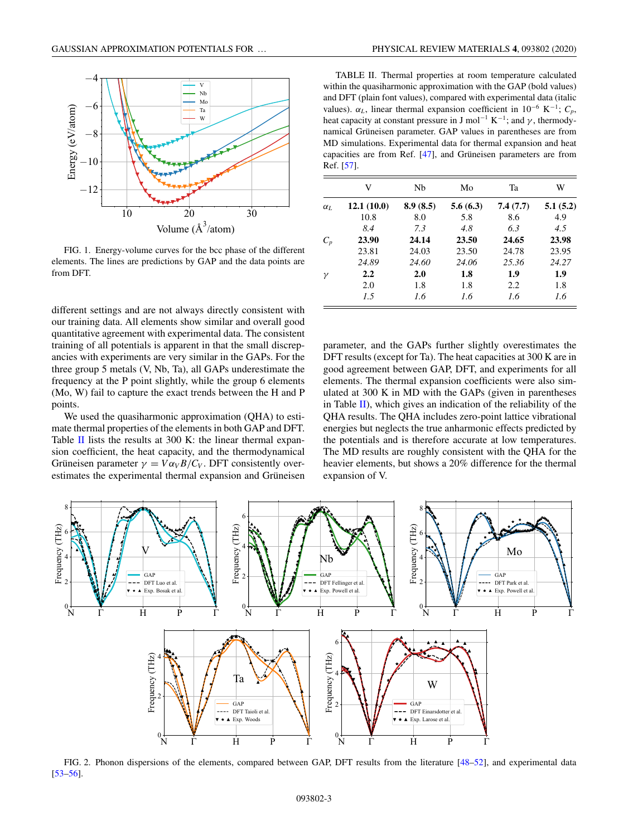

FIG. 1. Energy-volume curves for the bcc phase of the different elements. The lines are predictions by GAP and the data points are from DFT.

different settings and are not always directly consistent with our training data. All elements show similar and overall good quantitative agreement with experimental data. The consistent training of all potentials is apparent in that the small discrepancies with experiments are very similar in the GAPs. For the three group 5 metals (V, Nb, Ta), all GAPs underestimate the frequency at the P point slightly, while the group 6 elements (Mo, W) fail to capture the exact trends between the H and P points.

We used the quasiharmonic approximation (QHA) to estimate thermal properties of the elements in both GAP and DFT. Table II lists the results at 300 K: the linear thermal expansion coefficient, the heat capacity, and the thermodynamical Grüneisen parameter  $\gamma = V \alpha_V B / C_V$ . DFT consistently overestimates the experimental thermal expansion and Grüneisen

TABLE II. Thermal properties at room temperature calculated within the quasiharmonic approximation with the GAP (bold values) and DFT (plain font values), compared with experimental data (italic values).  $\alpha_L$ , linear thermal expansion coefficient in 10<sup>-6</sup> K<sup>-1</sup>;  $C_p$ , heat capacity at constant pressure in J mol<sup>-1</sup> K<sup>-1</sup>; and  $\gamma$ , thermodynamical Grüneisen parameter. GAP values in parentheses are from MD simulations. Experimental data for thermal expansion and heat capacities are from Ref. [47], and Grüneisen parameters are from Ref. [57].

|                       | V          | Nb       | Mo       | Ta       | W        |
|-----------------------|------------|----------|----------|----------|----------|
| $\alpha$ <sub>L</sub> | 12.1(10.0) | 8.9(8.5) | 5.6(6.3) | 7.4(7.7) | 5.1(5.2) |
|                       | 10.8       | 8.0      | 5.8      | 8.6      | 4.9      |
|                       | 8.4        | 7.3      | 4.8      | 63       | 4.5      |
| $C_p$                 | 23.90      | 24.14    | 23.50    | 24.65    | 23.98    |
|                       | 23.81      | 24.03    | 23.50    | 24.78    | 23.95    |
|                       | 24.89      | 24.60    | 24.06    | 25.36    | 24.27    |
| ν                     | 2.2        | 2.0      | 1.8      | 1.9      | 1.9      |
|                       | 2.0        | 1.8      | 1.8      | 2.2      | 1.8      |
|                       | 1.5        | 1.6      | 1.6      | 1.6      | 1.6      |

parameter, and the GAPs further slightly overestimates the DFT results (except for Ta). The heat capacities at 300 K are in good agreement between GAP, DFT, and experiments for all elements. The thermal expansion coefficients were also simulated at 300 K in MD with the GAPs (given in parentheses in Table  $II$ ), which gives an indication of the reliability of the QHA results. The QHA includes zero-point lattice vibrational energies but neglects the true anharmonic effects predicted by the potentials and is therefore accurate at low temperatures. The MD results are roughly consistent with the QHA for the heavier elements, but shows a 20% difference for the thermal expansion of V.



FIG. 2. Phonon dispersions of the elements, compared between GAP, DFT results from the literature [48–52], and experimental data [53–56].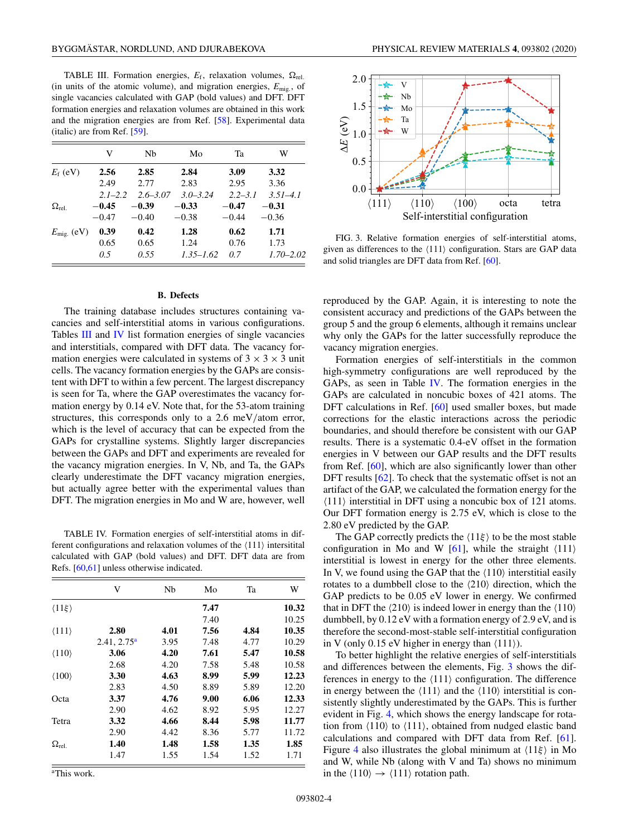TABLE III. Formation energies,  $E_f$ , relaxation volumes,  $\Omega_{rel}$ . (in units of the atomic volume), and migration energies,  $E_{\text{mig}}$ , of single vacancies calculated with GAP (bold values) and DFT. DFT formation energies and relaxation volumes are obtained in this work and the migration energies are from Ref. [58]. Experimental data (italic) are from Ref. [59].

|                     | V           | Nb           | Mo            | Ta          | W             |
|---------------------|-------------|--------------|---------------|-------------|---------------|
| $E_f$ (eV)          | 2.56        | 2.85         | 2.84          | 3.09        | 3.32          |
|                     | 2.49        | 2.77         | 2.83          | 2.95        | 3.36          |
|                     | $2.1 - 2.2$ | $2.6 - 3.07$ | $3.0 - 3.24$  | $2.2 - 3.1$ | $3.51 - 4.1$  |
| $\Omega_{\rm rel}$  | $-0.45$     | $-0.39$      | $-0.33$       | $-0.47$     | $-0.31$       |
|                     | $-0.47$     | $-0.40$      | $-0.38$       | $-0.44$     | $-0.36$       |
| $E_{\rm mig.}$ (eV) | 0.39        | 0.42         | 1.28          | 0.62        | 1.71          |
|                     | 0.65        | 0.65         | 1.24          | 0.76        | 1.73          |
|                     | 0.5         | 0.55         | $1.35 - 1.62$ | 0.7         | $1.70 - 2.02$ |

#### **B. Defects**

The training database includes structures containing vacancies and self-interstitial atoms in various configurations. Tables III and IV list formation energies of single vacancies and interstitials, compared with DFT data. The vacancy formation energies were calculated in systems of  $3 \times 3 \times 3$  unit cells. The vacancy formation energies by the GAPs are consistent with DFT to within a few percent. The largest discrepancy is seen for Ta, where the GAP overestimates the vacancy formation energy by 0.14 eV. Note that, for the 53-atom training structures, this corresponds only to a 2.6 meV/atom error, which is the level of accuracy that can be expected from the GAPs for crystalline systems. Slightly larger discrepancies between the GAPs and DFT and experiments are revealed for the vacancy migration energies. In V, Nb, and Ta, the GAPs clearly underestimate the DFT vacancy migration energies, but actually agree better with the experimental values than DFT. The migration energies in Mo and W are, however, well

TABLE IV. Formation energies of self-interstitial atoms in different configurations and relaxation volumes of the  $\langle 111 \rangle$  intersitital calculated with GAP (bold values) and DFT. DFT data are from Refs. [60,61] unless otherwise indicated.

|                          | V              | Nb   | Mo   | Ta   | W     |
|--------------------------|----------------|------|------|------|-------|
| $\langle 11 \xi \rangle$ |                |      | 7.47 |      | 10.32 |
|                          |                |      | 7.40 |      | 10.25 |
| $\langle 111 \rangle$    | 2.80           | 4.01 | 7.56 | 4.84 | 10.35 |
|                          | $2.41, 2.75^a$ | 3.95 | 7.48 | 4.77 | 10.29 |
| $\langle 110 \rangle$    | 3.06           | 4.20 | 7.61 | 5.47 | 10.58 |
|                          | 2.68           | 4.20 | 7.58 | 5.48 | 10.58 |
| $\langle 100 \rangle$    | 3.30           | 4.63 | 8.99 | 5.99 | 12.23 |
|                          | 2.83           | 4.50 | 8.89 | 5.89 | 12.20 |
| Octa                     | 3.37           | 4.76 | 9.00 | 6.06 | 12.33 |
|                          | 2.90           | 4.62 | 8.92 | 5.95 | 12.27 |
| Tetra                    | 3.32           | 4.66 | 8.44 | 5.98 | 11.77 |
|                          | 2.90           | 4.42 | 8.36 | 5.77 | 11.72 |
| $\Omega_{\rm rel.}$      | 1.40           | 1.48 | 1.58 | 1.35 | 1.85  |
|                          | 1.47           | 1.55 | 1.54 | 1.52 | 1.71  |

a This work.



FIG. 3. Relative formation energies of self-interstitial atoms, given as differences to the  $\langle 111 \rangle$  configuration. Stars are GAP data and solid triangles are DFT data from Ref. [60].

reproduced by the GAP. Again, it is interesting to note the consistent accuracy and predictions of the GAPs between the group 5 and the group 6 elements, although it remains unclear why only the GAPs for the latter successfully reproduce the vacancy migration energies.

Formation energies of self-interstitials in the common high-symmetry configurations are well reproduced by the GAPs, as seen in Table IV. The formation energies in the GAPs are calculated in noncubic boxes of 421 atoms. The DFT calculations in Ref. [60] used smaller boxes, but made corrections for the elastic interactions across the periodic boundaries, and should therefore be consistent with our GAP results. There is a systematic 0.4-eV offset in the formation energies in V between our GAP results and the DFT results from Ref. [60], which are also significantly lower than other DFT results [62]. To check that the systematic offset is not an artifact of the GAP, we calculated the formation energy for the  $\langle 111 \rangle$  interstitial in DFT using a noncubic box of 121 atoms. Our DFT formation energy is 2.75 eV, which is close to the 2.80 eV predicted by the GAP.

The GAP correctly predicts the  $\langle 11\xi \rangle$  to be the most stable configuration in Mo and W [61], while the straight  $\langle 111 \rangle$ interstitial is lowest in energy for the other three elements. In V, we found using the GAP that the  $\langle 110 \rangle$  interstitial easily rotates to a dumbbell close to the  $\langle 210 \rangle$  direction, which the GAP predicts to be 0.05 eV lower in energy. We confirmed that in DFT the  $\langle 210 \rangle$  is indeed lower in energy than the  $\langle 110 \rangle$ dumbbell, by 0.12 eV with a formation energy of 2.9 eV, and is therefore the second-most-stable self-interstitial configuration in V (only 0.15 eV higher in energy than  $\langle 111 \rangle$ ).

To better highlight the relative energies of self-interstitials and differences between the elements, Fig. 3 shows the differences in energy to the  $\langle 111 \rangle$  configuration. The difference in energy between the  $\langle 111 \rangle$  and the  $\langle 110 \rangle$  interstitial is consistently slightly underestimated by the GAPs. This is further evident in Fig. 4, which shows the energy landscape for rotation from  $\langle 110 \rangle$  to  $\langle 111 \rangle$ , obtained from nudged elastic band calculations and compared with DFT data from Ref. [61]. Figure 4 also illustrates the global minimum at  $\langle 11\xi \rangle$  in Mo and W, while Nb (along with V and Ta) shows no minimum in the  $\langle 110 \rangle \rightarrow \langle 111 \rangle$  rotation path.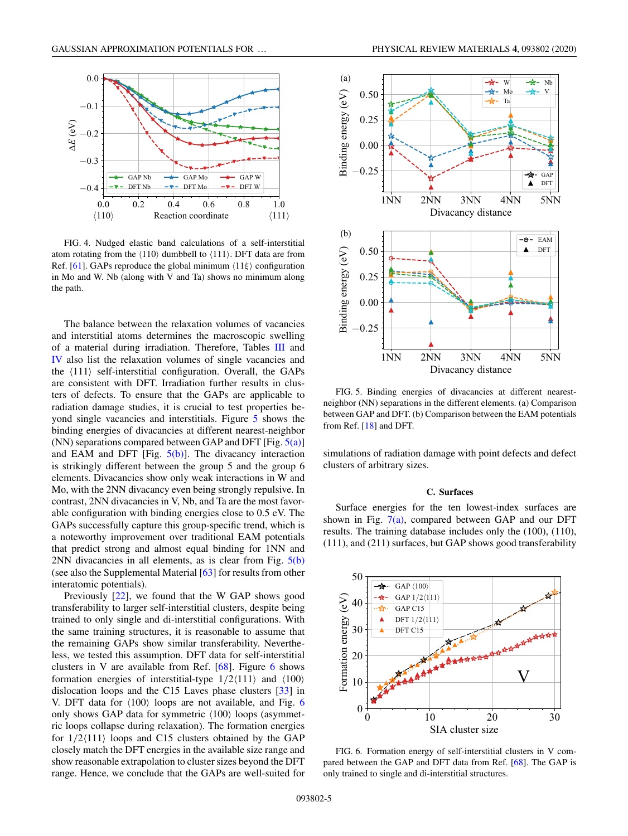

FIG. 4. Nudged elastic band calculations of a self-interstitial atom rotating from the  $\langle 110 \rangle$  dumbbell to  $\langle 111 \rangle$ . DFT data are from Ref. [61]. GAPs reproduce the global minimum  $\langle 11\xi \rangle$  configuration in Mo and W. Nb (along with V and Ta) shows no minimum along the path.

The balance between the relaxation volumes of vacancies and interstitial atoms determines the macroscopic swelling of a material during irradiation. Therefore, Tables III and IV also list the relaxation volumes of single vacancies and the  $\langle 111 \rangle$  self-interstitial configuration. Overall, the GAPs are consistent with DFT. Irradiation further results in clusters of defects. To ensure that the GAPs are applicable to radiation damage studies, it is crucial to test properties beyond single vacancies and interstitials. Figure 5 shows the binding energies of divacancies at different nearest-neighbor (NN) separations compared between GAP and DFT [Fig.  $5(a)$ ] and EAM and DFT [Fig.  $5(b)$ ]. The divacancy interaction is strikingly different between the group 5 and the group 6 elements. Divacancies show only weak interactions in W and Mo, with the 2NN divacancy even being strongly repulsive. In contrast, 2NN divacancies in V, Nb, and Ta are the most favorable configuration with binding energies close to 0.5 eV. The GAPs successfully capture this group-specific trend, which is a noteworthy improvement over traditional EAM potentials that predict strong and almost equal binding for 1NN and 2NN divacancies in all elements, as is clear from Fig.  $5(b)$ (see also the Supplemental Material [63] for results from other interatomic potentials).

Previously [22], we found that the W GAP shows good transferability to larger self-interstitial clusters, despite being trained to only single and di-interstitial configurations. With the same training structures, it is reasonable to assume that the remaining GAPs show similar transferability. Nevertheless, we tested this assumption. DFT data for self-interstitial clusters in V are available from Ref.  $[68]$ . Figure 6 shows formation energies of interstitial-type  $1/2\langle 111 \rangle$  and  $\langle 100 \rangle$ dislocation loops and the C15 Laves phase clusters [33] in V. DFT data for  $\langle 100 \rangle$  loops are not available, and Fig. 6 only shows GAP data for symmetric  $\langle 100 \rangle$  loops (asymmetric loops collapse during relaxation). The formation energies for  $1/2\langle 111 \rangle$  loops and C15 clusters obtained by the GAP closely match the DFT energies in the available size range and show reasonable extrapolation to cluster sizes beyond the DFT range. Hence, we conclude that the GAPs are well-suited for



FIG. 5. Binding energies of divacancies at different nearestneighbor (NN) separations in the different elements. (a) Comparison between GAP and DFT. (b) Comparison between the EAM potentials from Ref. [18] and DFT.

simulations of radiation damage with point defects and defect clusters of arbitrary sizes.

## **C. Surfaces**

Surface energies for the ten lowest-index surfaces are shown in Fig.  $7(a)$ , compared between GAP and our DFT results. The training database includes only the (100), (110), (111), and (211) surfaces, but GAP shows good transferability



FIG. 6. Formation energy of self-interstitial clusters in V compared between the GAP and DFT data from Ref. [68]. The GAP is only trained to single and di-interstitial structures.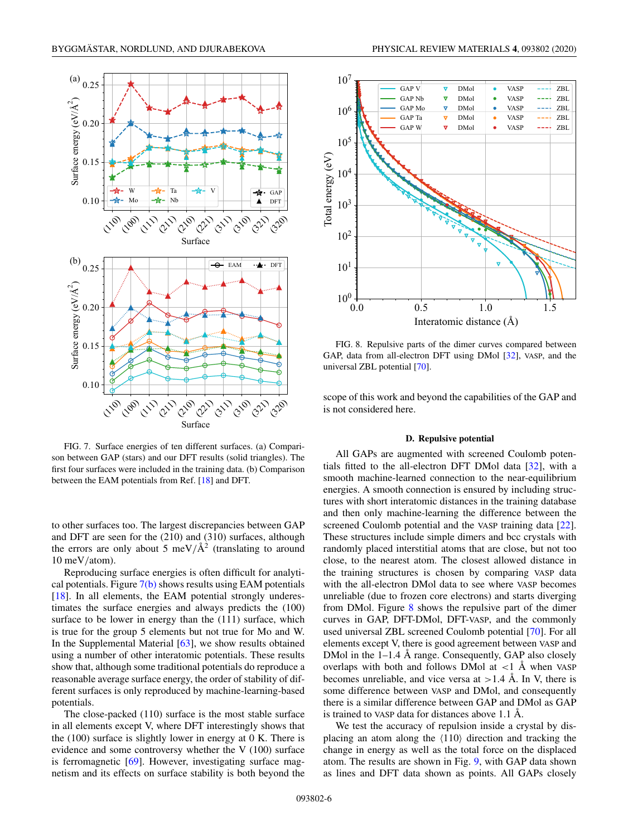

FIG. 7. Surface energies of ten different surfaces. (a) Comparison between GAP (stars) and our DFT results (solid triangles). The first four surfaces were included in the training data. (b) Comparison between the EAM potentials from Ref. [18] and DFT.

to other surfaces too. The largest discrepancies between GAP and DFT are seen for the (210) and (310) surfaces, although the errors are only about 5 meV/ $\AA$ <sup>2</sup> (translating to around 10 meV/atom).

Reproducing surface energies is often difficult for analytical potentials. Figure  $7(b)$  shows results using EAM potentials [18]. In all elements, the EAM potential strongly underestimates the surface energies and always predicts the (100) surface to be lower in energy than the (111) surface, which is true for the group 5 elements but not true for Mo and W. In the Supplemental Material [63], we show results obtained using a number of other interatomic potentials. These results show that, although some traditional potentials do reproduce a reasonable average surface energy, the order of stability of different surfaces is only reproduced by machine-learning-based potentials.

The close-packed (110) surface is the most stable surface in all elements except V, where DFT interestingly shows that the (100) surface is slightly lower in energy at 0 K. There is evidence and some controversy whether the V (100) surface is ferromagnetic [69]. However, investigating surface magnetism and its effects on surface stability is both beyond the



FIG. 8. Repulsive parts of the dimer curves compared between GAP, data from all-electron DFT using DMol [32], VASP, and the universal ZBL potential [70].

scope of this work and beyond the capabilities of the GAP and is not considered here.

## **D. Repulsive potential**

All GAPs are augmented with screened Coulomb potentials fitted to the all-electron DFT DMol data [32], with a smooth machine-learned connection to the near-equilibrium energies. A smooth connection is ensured by including structures with short interatomic distances in the training database and then only machine-learning the difference between the screened Coulomb potential and the VASP training data [22]. These structures include simple dimers and bcc crystals with randomly placed interstitial atoms that are close, but not too close, to the nearest atom. The closest allowed distance in the training structures is chosen by comparing VASP data with the all-electron DMol data to see where VASP becomes unreliable (due to frozen core electrons) and starts diverging from DMol. Figure 8 shows the repulsive part of the dimer curves in GAP, DFT-DMol, DFT-VASP, and the commonly used universal ZBL screened Coulomb potential [70]. For all elements except V, there is good agreement between VASP and DMol in the  $1-1.4$  Å range. Consequently, GAP also closely overlaps with both and follows DMol at  $\langle 1 \rangle$  Å when VASP becomes unreliable, and vice versa at  $>1.4$  Å. In V, there is some difference between VASP and DMol, and consequently there is a similar difference between GAP and DMol as GAP is trained to VASP data for distances above 1.1 Å.

We test the accuracy of repulsion inside a crystal by displacing an atom along the  $\langle 110 \rangle$  direction and tracking the change in energy as well as the total force on the displaced atom. The results are shown in Fig. 9, with GAP data shown as lines and DFT data shown as points. All GAPs closely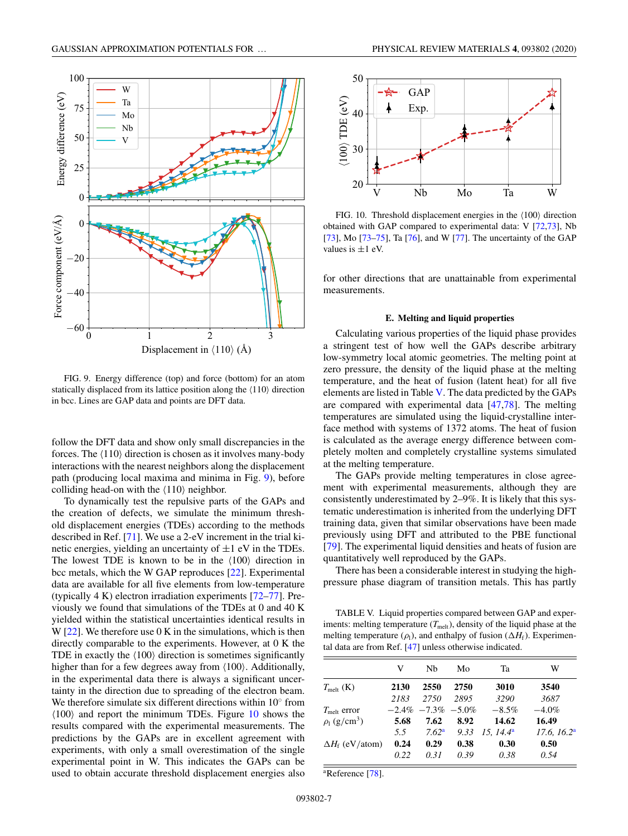

FIG. 9. Energy difference (top) and force (bottom) for an atom statically displaced from its lattice position along the  $\langle 110 \rangle$  direction in bcc. Lines are GAP data and points are DFT data.

follow the DFT data and show only small discrepancies in the forces. The  $\langle 110 \rangle$  direction is chosen as it involves many-body interactions with the nearest neighbors along the displacement path (producing local maxima and minima in Fig. 9), before colliding head-on with the  $\langle 110 \rangle$  neighbor.

To dynamically test the repulsive parts of the GAPs and the creation of defects, we simulate the minimum threshold displacement energies (TDEs) according to the methods described in Ref. [71]. We use a 2-eV increment in the trial kinetic energies, yielding an uncertainty of  $\pm 1$  eV in the TDEs. The lowest TDE is known to be in the  $\langle 100 \rangle$  direction in bcc metals, which the W GAP reproduces [22]. Experimental data are available for all five elements from low-temperature (typically 4 K) electron irradiation experiments [72–77]. Previously we found that simulations of the TDEs at 0 and 40 K yielded within the statistical uncertainties identical results in W  $[22]$ . We therefore use 0 K in the simulations, which is then directly comparable to the experiments. However, at 0 K the TDE in exactly the  $\langle 100 \rangle$  direction is sometimes significantly higher than for a few degrees away from  $\langle 100 \rangle$ . Additionally, in the experimental data there is always a significant uncertainty in the direction due to spreading of the electron beam. We therefore simulate six different directions within  $10°$  from  $\langle 100 \rangle$  and report the minimum TDEs. Figure 10 shows the results compared with the experimental measurements. The predictions by the GAPs are in excellent agreement with experiments, with only a small overestimation of the single experimental point in W. This indicates the GAPs can be used to obtain accurate threshold displacement energies also



FIG. 10. Threshold displacement energies in the  $\langle 100 \rangle$  direction obtained with GAP compared to experimental data: V [72,73], Nb [73], Mo [73–75], Ta [76], and W [77]. The uncertainty of the GAP values is  $\pm 1$  eV.

for other directions that are unattainable from experimental measurements.

### **E. Melting and liquid properties**

Calculating various properties of the liquid phase provides a stringent test of how well the GAPs describe arbitrary low-symmetry local atomic geometries. The melting point at zero pressure, the density of the liquid phase at the melting temperature, and the heat of fusion (latent heat) for all five elements are listed in Table V. The data predicted by the GAPs are compared with experimental data [47,78]. The melting temperatures are simulated using the liquid-crystalline interface method with systems of 1372 atoms. The heat of fusion is calculated as the average energy difference between completely molten and completely crystalline systems simulated at the melting temperature.

The GAPs provide melting temperatures in close agreement with experimental measurements, although they are consistently underestimated by 2–9%. It is likely that this systematic underestimation is inherited from the underlying DFT training data, given that similar observations have been made previously using DFT and attributed to the PBE functional [79]. The experimental liquid densities and heats of fusion are quantitatively well reproduced by the GAPs.

There has been a considerable interest in studying the highpressure phase diagram of transition metals. This has partly

TABLE V. Liquid properties compared between GAP and experiments: melting temperature  $(T_{\text{melt}})$ , density of the liquid phase at the melting temperature  $(\rho_l)$ , and enthalpy of fusion  $(\Delta H_f)$ . Experimental data are from Ref. [47] unless otherwise indicated.

|                               | V    | Nb                     | Mo   | Ta                   | W                       |
|-------------------------------|------|------------------------|------|----------------------|-------------------------|
| $T_{\rm melt}$ (K)            | 2130 | 2550                   | 2750 | 3010                 | 3540                    |
|                               | 2183 | 2750                   | 2895 | 3290                 | 3687                    |
| $T_{\text{melt}}$ error       |      | $-2.4\% -7.3\% -5.0\%$ |      | $-8.5%$              | $-4.0\%$                |
| $\rho_l$ (g/cm <sup>3</sup> ) | 5.68 | 7.62                   | 8.92 | 14.62                | 16.49                   |
|                               | 5.5  | 7.62 <sup>a</sup>      | 9.33 | 15.14.4 <sup>a</sup> | 17.6, 16.2 <sup>a</sup> |
| $\Delta H_{\rm f}$ (eV/atom)  | 0.24 | 0.29                   | 0.38 | 0.30                 | 0.50                    |
|                               | 0.22 | 0.31                   | 0.39 | 0.38                 | 0.54                    |

a Reference [78].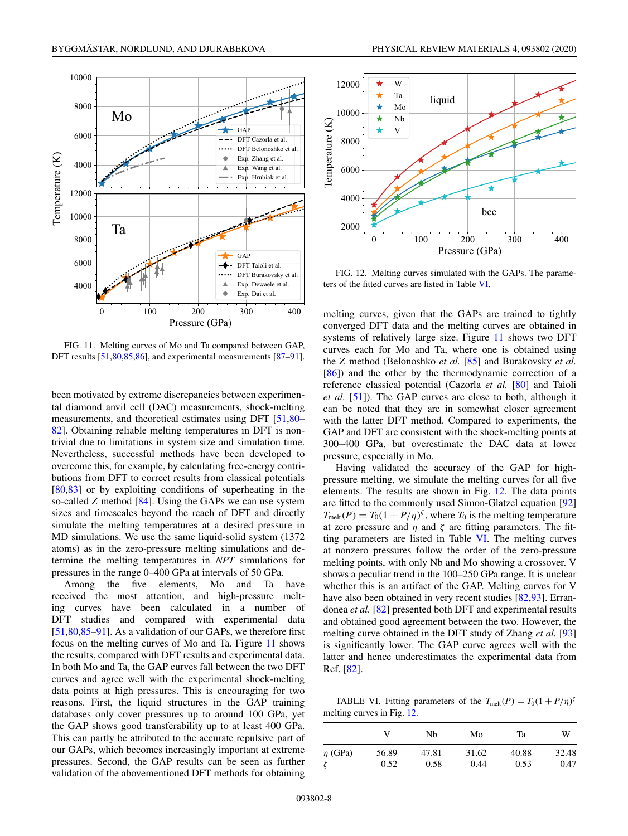

FIG. 11. Melting curves of Mo and Ta compared between GAP, DFT results [51,80,85,86], and experimental measurements [87–91].

been motivated by extreme discrepancies between experimental diamond anvil cell (DAC) measurements, shock-melting measurements, and theoretical estimates using DFT [51,80– 82]. Obtaining reliable melting temperatures in DFT is nontrivial due to limitations in system size and simulation time. Nevertheless, successful methods have been developed to overcome this, for example, by calculating free-energy contributions from DFT to correct results from classical potentials [80,83] or by exploiting conditions of superheating in the so-called *Z* method [84]. Using the GAPs we can use system sizes and timescales beyond the reach of DFT and directly simulate the melting temperatures at a desired pressure in MD simulations. We use the same liquid-solid system (1372 atoms) as in the zero-pressure melting simulations and determine the melting temperatures in *NPT* simulations for pressures in the range 0–400 GPa at intervals of 50 GPa.

Among the five elements, Mo and Ta have received the most attention, and high-pressure melting curves have been calculated in a number of DFT studies and compared with experimental data [51,80,85–91]. As a validation of our GAPs, we therefore first focus on the melting curves of Mo and Ta. Figure 11 shows the results, compared with DFT results and experimental data. In both Mo and Ta, the GAP curves fall between the two DFT curves and agree well with the experimental shock-melting data points at high pressures. This is encouraging for two reasons. First, the liquid structures in the GAP training databases only cover pressures up to around 100 GPa, yet the GAP shows good transferability up to at least 400 GPa. This can partly be attributed to the accurate repulsive part of our GAPs, which becomes increasingly important at extreme pressures. Second, the GAP results can be seen as further validation of the abovementioned DFT methods for obtaining



FIG. 12. Melting curves simulated with the GAPs. The parameters of the fitted curves are listed in Table VI.

melting curves, given that the GAPs are trained to tightly converged DFT data and the melting curves are obtained in systems of relatively large size. Figure 11 shows two DFT curves each for Mo and Ta, where one is obtained using the *Z* method (Belonoshko *et al.* [85] and Burakovsky *et al.* [86]) and the other by the thermodynamic correction of a reference classical potential (Cazorla *et al.* [80] and Taioli *et al.* [51]). The GAP curves are close to both, although it can be noted that they are in somewhat closer agreement with the latter DFT method. Compared to experiments, the GAP and DFT are consistent with the shock-melting points at 300–400 GPa, but overestimate the DAC data at lower pressure, especially in Mo.

Having validated the accuracy of the GAP for highpressure melting, we simulate the melting curves for all five elements. The results are shown in Fig. 12. The data points are fitted to the commonly used Simon-Glatzel equation [92]  $T_{\text{melt}}(P) = T_0(1 + P/\eta)^{\zeta}$ , where  $T_0$  is the melting temperature at zero pressure and  $\eta$  and  $\zeta$  are fitting parameters. The fitting parameters are listed in Table VI. The melting curves at nonzero pressures follow the order of the zero-pressure melting points, with only Nb and Mo showing a crossover. V shows a peculiar trend in the 100–250 GPa range. It is unclear whether this is an artifact of the GAP. Melting curves for V have also been obtained in very recent studies [82,93]. Errandonea *et al.* [82] presented both DFT and experimental results and obtained good agreement between the two. However, the melting curve obtained in the DFT study of Zhang *et al.* [93] is significantly lower. The GAP curve agrees well with the latter and hence underestimates the experimental data from Ref. [82].

TABLE VI. Fitting parameters of the  $T_{\text{melt}}(P) = T_0(1 + P/\eta)^{\delta}$ melting curves in Fig. 12.

|              |       | Nb    | Mo    | Ta    | W     |
|--------------|-------|-------|-------|-------|-------|
| $\eta$ (GPa) | 56.89 | 47.81 | 31.62 | 40.88 | 32.48 |
|              | 0.52  | 0.58  | 0.44  | 0.53  | 0.47  |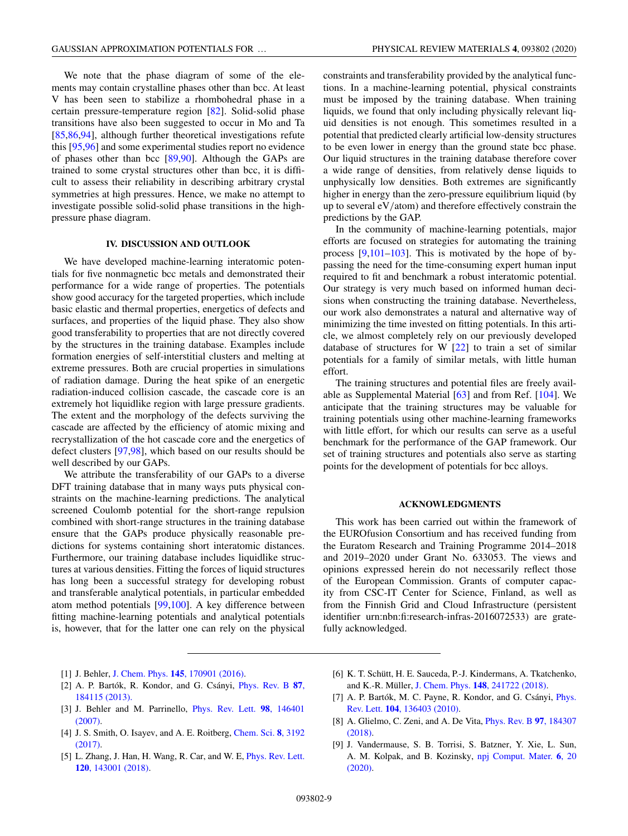We note that the phase diagram of some of the elements may contain crystalline phases other than bcc. At least V has been seen to stabilize a rhombohedral phase in a certain pressure-temperature region [82]. Solid-solid phase transitions have also been suggested to occur in Mo and Ta [85,86,94], although further theoretical investigations refute this [95,96] and some experimental studies report no evidence of phases other than bcc  $[89,90]$ . Although the GAPs are trained to some crystal structures other than bcc, it is difficult to assess their reliability in describing arbitrary crystal symmetries at high pressures. Hence, we make no attempt to investigate possible solid-solid phase transitions in the highpressure phase diagram.

# **IV. DISCUSSION AND OUTLOOK**

We have developed machine-learning interatomic potentials for five nonmagnetic bcc metals and demonstrated their performance for a wide range of properties. The potentials show good accuracy for the targeted properties, which include basic elastic and thermal properties, energetics of defects and surfaces, and properties of the liquid phase. They also show good transferability to properties that are not directly covered by the structures in the training database. Examples include formation energies of self-interstitial clusters and melting at extreme pressures. Both are crucial properties in simulations of radiation damage. During the heat spike of an energetic radiation-induced collision cascade, the cascade core is an extremely hot liquidlike region with large pressure gradients. The extent and the morphology of the defects surviving the cascade are affected by the efficiency of atomic mixing and recrystallization of the hot cascade core and the energetics of defect clusters [97,98], which based on our results should be well described by our GAPs.

We attribute the transferability of our GAPs to a diverse DFT training database that in many ways puts physical constraints on the machine-learning predictions. The analytical screened Coulomb potential for the short-range repulsion combined with short-range structures in the training database ensure that the GAPs produce physically reasonable predictions for systems containing short interatomic distances. Furthermore, our training database includes liquidlike structures at various densities. Fitting the forces of liquid structures has long been a successful strategy for developing robust and transferable analytical potentials, in particular embedded atom method potentials [99,100]. A key difference between fitting machine-learning potentials and analytical potentials is, however, that for the latter one can rely on the physical constraints and transferability provided by the analytical functions. In a machine-learning potential, physical constraints must be imposed by the training database. When training liquids, we found that only including physically relevant liquid densities is not enough. This sometimes resulted in a potential that predicted clearly artificial low-density structures to be even lower in energy than the ground state bcc phase. Our liquid structures in the training database therefore cover a wide range of densities, from relatively dense liquids to unphysically low densities. Both extremes are significantly higher in energy than the zero-pressure equilibrium liquid (by up to several eV/atom) and therefore effectively constrain the predictions by the GAP.

In the community of machine-learning potentials, major efforts are focused on strategies for automating the training process [9,101–103]. This is motivated by the hope of bypassing the need for the time-consuming expert human input required to fit and benchmark a robust interatomic potential. Our strategy is very much based on informed human decisions when constructing the training database. Nevertheless, our work also demonstrates a natural and alternative way of minimizing the time invested on fitting potentials. In this article, we almost completely rely on our previously developed database of structures for W [22] to train a set of similar potentials for a family of similar metals, with little human effort.

The training structures and potential files are freely available as Supplemental Material [63] and from Ref. [104]. We anticipate that the training structures may be valuable for training potentials using other machine-learning frameworks with little effort, for which our results can serve as a useful benchmark for the performance of the GAP framework. Our set of training structures and potentials also serve as starting points for the development of potentials for bcc alloys.

#### **ACKNOWLEDGMENTS**

This work has been carried out within the framework of the EUROfusion Consortium and has received funding from the Euratom Research and Training Programme 2014–2018 and 2019–2020 under Grant No. 633053. The views and opinions expressed herein do not necessarily reflect those of the European Commission. Grants of computer capacity from CSC-IT Center for Science, Finland, as well as from the Finnish Grid and Cloud Infrastructure (persistent identifier urn:nbn:fi:research-infras-2016072533) are gratefully acknowledged.

- [1] J. Behler, J. Chem. Phys. **145**[, 170901 \(2016\).](https://doi.org/10.1063/1.4966192)
- [2] [A. P. Bartók, R. Kondor, and G. Csányi,](https://doi.org/10.1103/PhysRevB.87.184115) Phys. Rev. B **87**, 184115 (2013).
- [3] [J. Behler and M. Parrinello,](https://doi.org/10.1103/PhysRevLett.98.146401) Phys. Rev. Lett. **98**, 146401 (2007).
- [4] [J. S. Smith, O. Isayev, and A. E. Roitberg,](https://doi.org/10.1039/C6SC05720A) Chem. Sci. **8**, 3192 (2017).
- [5] [L. Zhang, J. Han, H. Wang, R. Car, and W. E,](https://doi.org/10.1103/PhysRevLett.120.143001) Phys. Rev. Lett. **120**, 143001 (2018).
- [6] K. T. Schütt, H. E. Sauceda, P.-J. Kindermans, A. Tkatchenko, and K.-R. Müller, J. Chem. Phys. **148**[, 241722 \(2018\).](https://doi.org/10.1063/1.5019779)
- [7] [A. P. Bartók, M. C. Payne, R. Kondor, and G. Csányi,](https://doi.org/10.1103/PhysRevLett.104.136403) Phys. Rev. Lett. **104**, 136403 (2010).
- [8] [A. Glielmo, C. Zeni, and A. De Vita,](https://doi.org/10.1103/PhysRevB.97.184307) Phys. Rev. B **97**, 184307 (2018).
- [9] J. Vandermause, S. B. Torrisi, S. Batzner, Y. Xie, L. Sun, [A. M. Kolpak, and B. Kozinsky,](https://doi.org/10.1038/s41524-020-0283-z) npj Comput. Mater. **6**, 20 (2020).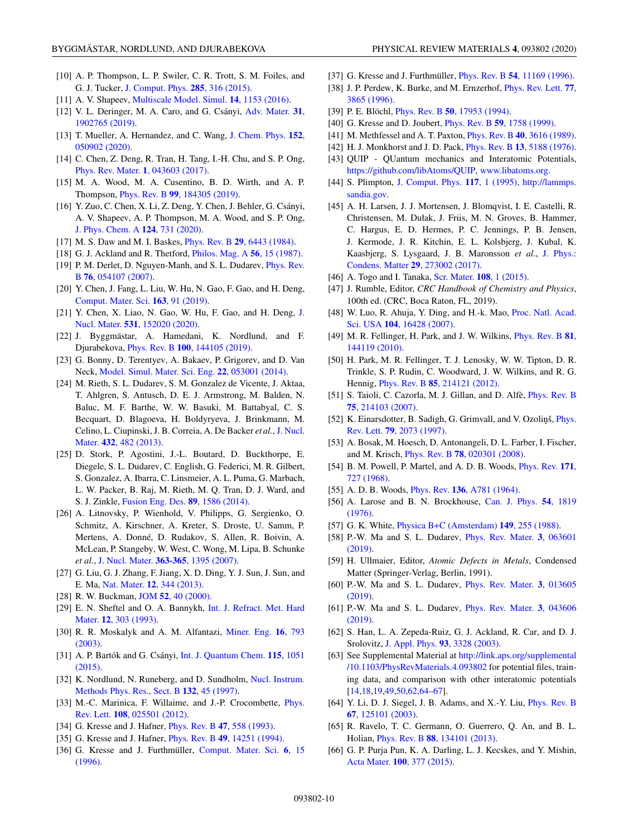- [10] A. P. Thompson, L. P. Swiler, C. R. Trott, S. M. Foiles, and G. J. Tucker, [J. Comput. Phys.](https://doi.org/10.1016/j.jcp.2014.12.018) **285**, 316 (2015).
- [11] A. V. Shapeev, [Multiscale Model. Simul.](https://doi.org/10.1137/15M1054183) **14**, 1153 (2016).
- [12] [V. L. Deringer, M. A. Caro, and G. Csányi,](https://doi.org/10.1002/adma.201902765) Adv. Mater. **31**, 1902765 (2019).
- [13] [T. Mueller, A. Hernandez, and C. Wang,](https://doi.org/10.1063/1.5126336) J. Chem. Phys. **152**, 050902 (2020).
- [14] C. Chen, Z. Deng, R. Tran, H. Tang, I.-H. Chu, and S. P. Ong, [Phys. Rev. Mater.](https://doi.org/10.1103/PhysRevMaterials.1.043603) **1**, 043603 (2017).
- [15] M. A. Wood, M. A. Cusentino, B. D. Wirth, and A. P. Thompson, Phys. Rev. B **99**[, 184305 \(2019\).](https://doi.org/10.1103/PhysRevB.99.184305)
- [16] Y. Zuo, C. Chen, X. Li, Z. Deng, Y. Chen, J. Behler, G. Csányi, A. V. Shapeev, A. P. Thompson, M. A. Wood, and S. P. Ong, [J. Phys. Chem. A](https://doi.org/10.1021/acs.jpca.9b08723) **124**, 731 (2020).
- [17] M. S. Daw and M. I. Baskes, Phys. Rev. B **29**[, 6443 \(1984\).](https://doi.org/10.1103/PhysRevB.29.6443)
- [18] G. J. Ackland and R. Thetford, [Philos. Mag. A](https://doi.org/10.1080/01418618708204464) **56**, 15 (1987).
- [19] [P. M. Derlet, D. Nguyen-Manh, and S. L. Dudarev,](https://doi.org/10.1103/PhysRevB.76.054107) *Phys. Rev.* B **76**, 054107 (2007).
- [20] Y. Chen, J. Fang, L. Liu, W. Hu, N. Gao, F. Gao, and H. Deng, [Comput. Mater. Sci.](https://doi.org/10.1016/j.commatsci.2019.03.021) **163**, 91 (2019).
- [21] [Y. Chen, X. Liao, N. Gao, W. Hu, F. Gao, and H. Deng,](https://doi.org/10.1016/j.jnucmat.2020.152020) J. Nucl. Mater. **531**, 152020 (2020).
- [22] J. Byggmästar, A. Hamedani, K. Nordlund, and F. Djurabekova, Phys. Rev. B **100**[, 144105 \(2019\).](https://doi.org/10.1103/PhysRevB.100.144105)
- [23] G. Bonny, D. Terentyev, A. Bakaev, P. Grigorev, and D. Van Neck, [Model. Simul. Mater. Sci. Eng.](https://doi.org/10.1088/0965-0393/22/5/053001) **22**, 053001 (2014).
- [24] M. Rieth, S. L. Dudarev, S. M. Gonzalez de Vicente, J. Aktaa, T. Ahlgren, S. Antusch, D. E. J. Armstrong, M. Balden, N. Baluc, M. F. Barthe, W. W. Basuki, M. Battabyal, C. S. Becquart, D. Blagoeva, H. Boldyryeva, J. Brinkmann, M. [Celino, L. Ciupinski, J. B. Correia, A. De Backer](https://doi.org/10.1016/j.jnucmat.2012.08.018) *et al.*,J. Nucl. Mater. **432**, 482 (2013).
- [25] D. Stork, P. Agostini, J.-L. Boutard, D. Buckthorpe, E. Diegele, S. L. Dudarev, C. English, G. Federici, M. R. Gilbert, S. Gonzalez, A. Ibarra, C. Linsmeier, A. L. Puma, G. Marbach, L. W. Packer, B. Raj, M. Rieth, M. Q. Tran, D. J. Ward, and S. J. Zinkle, [Fusion Eng. Des.](https://doi.org/10.1016/j.fusengdes.2013.11.007) **89**, 1586 (2014).
- [26] A. Litnovsky, P. Wienhold, V. Philipps, G. Sergienko, O. Schmitz, A. Kirschner, A. Kreter, S. Droste, U. Samm, P. Mertens, A. Donné, D. Rudakov, S. Allen, R. Boivin, A. McLean, P. Stangeby, W. West, C. Wong, M. Lipa, B. Schunke *et al.*, [J. Nucl. Mater.](https://doi.org/10.1016/j.jnucmat.2007.01.281) **363-365**, 1395 (2007).
- [27] G. Liu, G. J. Zhang, F. Jiang, X. D. Ding, Y. J. Sun, J. Sun, and E. Ma, Nat. Mater. **12**[, 344 \(2013\).](https://doi.org/10.1038/nmat3544)
- [28] R. W. Buckman, JOM **52**[, 40 \(2000\).](https://doi.org/10.1007/s11837-000-0100-6)
- [29] [E. N. Sheftel and O. A. Bannykh,](https://doi.org/10.1016/0263-4368(93)90038-H) Int. J. Refract. Met. Hard Mater. **12**, 303 (1993).
- [30] [R. R. Moskalyk and A. M. Alfantazi,](https://doi.org/10.1016/S0892-6875(03)00213-9) Miner. Eng. **16**, 793 (2003).
- [31] [A. P. Bartók and G. Csányi,](https://doi.org/10.1002/qua.24927) Int. J. Quantum Chem. **115**, 1051 (2015).
- [32] [K. Nordlund, N. Runeberg, and D. Sundholm,](https://doi.org/10.1016/S0168-583X(97)00447-3) Nucl. Instrum. Methods Phys. Res., Sect. B **132**, 45 (1997).
- [33] [M.-C. Marinica, F. Willaime, and J.-P. Crocombette,](https://doi.org/10.1103/PhysRevLett.108.025501) *Phys.* Rev. Lett. **108**, 025501 (2012).
- [34] G. Kresse and J. Hafner, [Phys. Rev. B](https://doi.org/10.1103/PhysRevB.47.558) **47**, 558 (1993).
- [35] G. Kresse and J. Hafner, Phys. Rev. B **49**[, 14251 \(1994\).](https://doi.org/10.1103/PhysRevB.49.14251)
- [36] [G. Kresse and J. Furthmüller,](https://doi.org/10.1016/0927-0256(96)00008-0) Comput. Mater. Sci. **6**, 15 (1996).
- [37] G. Kresse and J. Furthmüller, Phys. Rev. B **54**[, 11169 \(1996\).](https://doi.org/10.1103/PhysRevB.54.11169)
- [38] [J. P. Perdew, K. Burke, and M. Ernzerhof,](https://doi.org/10.1103/PhysRevLett.77.3865) Phys. Rev. Lett. **77**, 3865 (1996).
- [39] P. E. Blöchl, Phys. Rev. B **50**[, 17953 \(1994\).](https://doi.org/10.1103/PhysRevB.50.17953)
- [40] G. Kresse and D. Joubert, Phys. Rev. B **59**[, 1758 \(1999\).](https://doi.org/10.1103/PhysRevB.59.1758)
- [41] M. Methfessel and A. T. Paxton, Phys. Rev. B **40**[, 3616 \(1989\).](https://doi.org/10.1103/PhysRevB.40.3616)
- [42] H. J. Monkhorst and J. D. Pack, Phys. Rev. B **13**[, 5188 \(1976\).](https://doi.org/10.1103/PhysRevB.13.5188)
- [43] QUIP QUantum mechanics and Interatomic Potentials, [https://github.com/libAtoms/QUIP,](https://github.com/libAtoms/QUIP) [www.libatoms.org.](http://www.libatoms.org)
- [44] S. Plimpton, [J. Comput. Phys.](https://doi.org/10.1006/jcph.1995.1039) **117**[, 1 \(1995\), http://lammps.](http://lammps.sandia.gov) sandia.gov.
- [45] A. H. Larsen, J. J. Mortensen, J. Blomqvist, I. E. Castelli, R. Christensen, M. Dułak, J. Friis, M. N. Groves, B. Hammer, C. Hargus, E. D. Hermes, P. C. Jennings, P. B. Jensen, J. Kermode, J. R. Kitchin, E. L. Kolsbjerg, J. Kubal, K. [Kaasbjerg, S. Lysgaard, J. B. Maronsson](https://doi.org/10.1088/1361-648X/aa680e) *et al.*, J. Phys.: Condens. Matter **29**, 273002 (2017).
- [46] A. Togo and I. Tanaka, [Scr. Mater.](https://doi.org/10.1016/j.scriptamat.2015.07.021) **108**, 1 (2015).
- [47] J. Rumble, Editor, *CRC Handbook of Chemistry and Physics*, 100th ed. (CRC, Boca Raton, FL, 2019).
- [48] [W. Luo, R. Ahuja, Y. Ding, and H.-k. Mao,](https://doi.org/10.1073/pnas.0707377104) Proc. Natl. Acad. Sci. USA **104**, 16428 (2007).
- [49] [M. R. Fellinger, H. Park, and J. W. Wilkins,](https://doi.org/10.1103/PhysRevB.81.144119) Phys. Rev. B **81**, 144119 (2010).
- [50] H. Park, M. R. Fellinger, T. J. Lenosky, W. W. Tipton, D. R. Trinkle, S. P. Rudin, C. Woodward, J. W. Wilkins, and R. G. Hennig, Phys. Rev. B **85**[, 214121 \(2012\).](https://doi.org/10.1103/PhysRevB.85.214121)
- [51] [S. Taioli, C. Cazorla, M. J. Gillan, and D. Alfè,](https://doi.org/10.1103/PhysRevB.75.214103) *Phys. Rev. B* **75**, 214103 (2007).
- [52] K. Einarsdotter, B. Sadigh, G. Grimvall, and V. Ozoliņš, *Phys.* Rev. Lett. **79**, 2073 (1997).
- [53] A. Bosak, M. Hoesch, D. Antonangeli, D. L. Farber, I. Fischer, and M. Krisch, Phys. Rev. B **78**[, 020301 \(2008\).](https://doi.org/10.1103/PhysRevB.78.020301)
- [54] [B. M. Powell, P. Martel, and A. D. B. Woods,](https://doi.org/10.1103/PhysRev.171.727) Phys. Rev. **171**, 727 (1968).
- [55] A. D. B. Woods, Phys. Rev. **136**[, A781 \(1964\).](https://doi.org/10.1103/PhysRev.136.A781)
- [56] [A. Larose and B. N. Brockhouse,](https://doi.org/10.1139/p76-215) Can. J. Phys. **54**, 1819 (1976).
- [57] G. K. White, [Physica B+C \(Amsterdam\)](https://doi.org/10.1016/0378-4363(88)90251-3) **149**, 255 (1988).
- [58] [P.-W. Ma and S. L. Dudarev,](https://doi.org/10.1103/PhysRevMaterials.3.063601) Phys. Rev. Mater. **3**, 063601 (2019).
- [59] H. Ullmaier, Editor, *Atomic Defects in Metals*, Condensed Matter (Springer-Verlag, Berlin, 1991).
- [60] [P.-W. Ma and S. L. Dudarev,](https://doi.org/10.1103/PhysRevMaterials.3.013605) Phys. Rev. Mater. **3**, 013605 (2019).
- [61] [P.-W. Ma and S. L. Dudarev,](https://doi.org/10.1103/PhysRevMaterials.3.043606) Phys. Rev. Mater. **3**, 043606 (2019).
- [62] S. Han, L. A. Zepeda-Ruiz, G. J. Ackland, R. Car, and D. J. Srolovitz, [J. Appl. Phys.](https://doi.org/10.1063/1.1555275) **93**, 3328 (2003).
- [63] See Supplemental Material at http://link.aps.org/supplemental [/10.1103/PhysRevMaterials.4.093802](http://link.aps.org/supplemental/10.1103/PhysRevMaterials.4.093802) for potential files, training data, and comparison with other interatomic potentials [14,18,19,49,50,62,64–67].
- [64] [Y. Li, D. J. Siegel, J. B. Adams, and X.-Y. Liu,](https://doi.org/10.1103/PhysRevB.67.125101) Phys. Rev. B **67**, 125101 (2003).
- [65] R. Ravelo, T. C. Germann, O. Guerrero, Q. An, and B. L. Holian, Phys. Rev. B **88**[, 134101 \(2013\).](https://doi.org/10.1103/PhysRevB.88.134101)
- [66] G. P. Purja Pun, K. A. Darling, L. J. Kecskes, and Y. Mishin, Acta Mater. **100**[, 377 \(2015\).](https://doi.org/10.1016/j.actamat.2015.08.052)